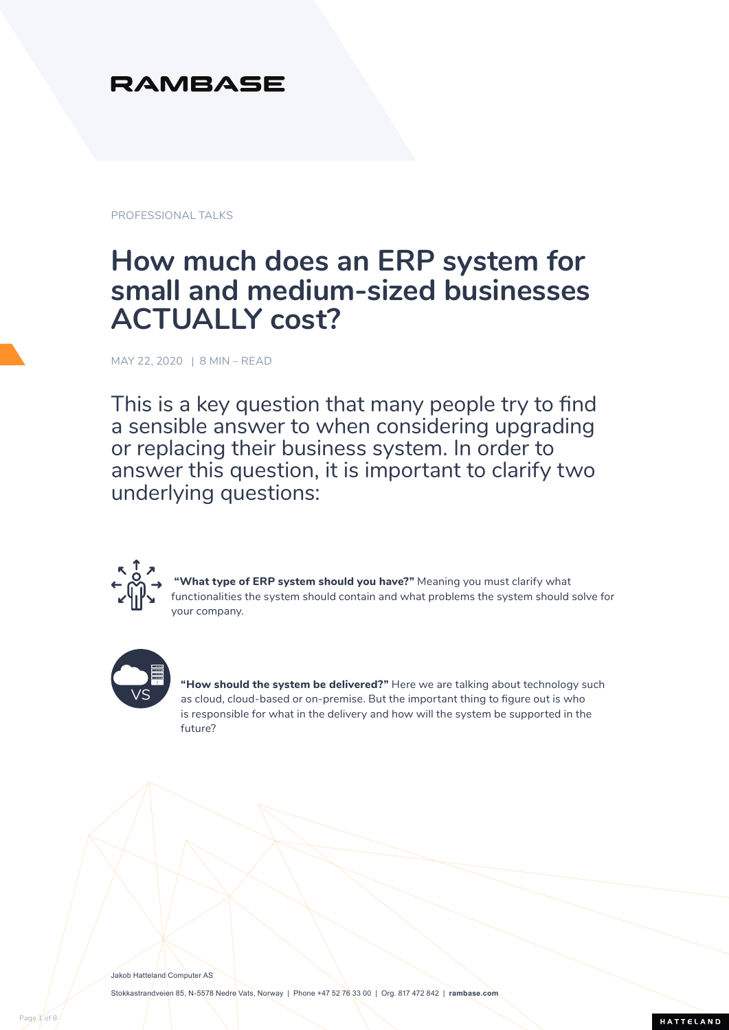## **RAMBASE**

PROFESSIONAL TALKS

# **How much does an ERP system for small and medium-sized businesses ACTUALLY cost?**

MAY 22, 2020 | 8 MIN – READ

This is a key question that many people try to find a sensible answer to when considering upgrading or replacing their business system. In order to answer this question, it is important to clarify two underlying questions:



What type of ERP system should you have?" Meaning you must clarify what functionalities the system should contain and what problems the system should solve for your company.



**"How should the system be delivered?"** Here we are talking about technology such as cloud, cloud-based or on-premise. But the important thing to figure out is who is responsible for what in the delivery and how will the system be supported in the future?

HATTELAND

Jakob Hatteland Computer AS Stokkastrandveien 85, N-5578 Nedre Vats, Norway | Phone +47 52 76 33 00 | Org. 817 472 842 | **[rambase.com](https://rambase.com)**

Page 1 of 8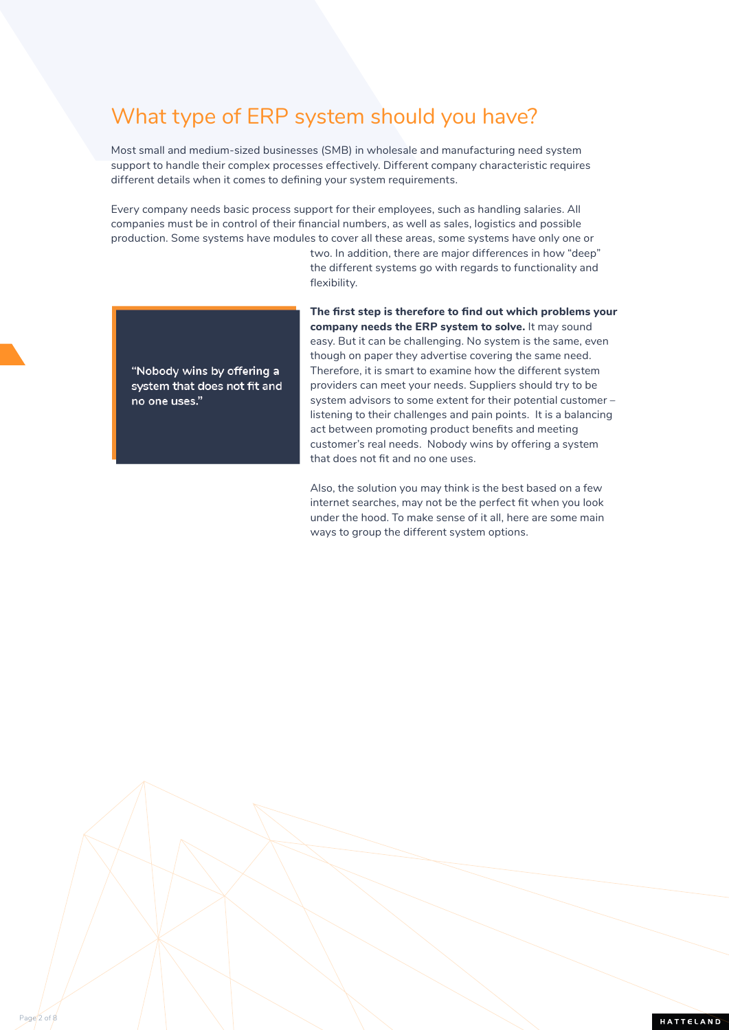## What type of ERP system should you have?

Most small and medium-sized businesses (SMB) in wholesale and manufacturing need system support to handle their complex processes effectively. Different company characteristic requires different details when it comes to defining your system requirements.

Every company needs basic process support for their employees, such as handling salaries. All companies must be in control of their financial numbers, as well as sales, logistics and possible production. Some systems have modules to cover all these areas, some systems have only one or

> two. In addition, there are major differences in how "deep" the different systems go with regards to functionality and flexibility.



Page 2 of 8

**The first step is therefore to find out which problems your company needs the ERP system to solve.** It may sound easy. But it can be challenging. No system is the same, even though on paper they advertise covering the same need. Therefore, it is smart to examine how the different system providers can meet your needs. Suppliers should try to be system advisors to some extent for their potential customer – listening to their challenges and pain points. It is a balancing act between promoting product benefits and meeting customer's real needs. Nobody wins by offering a system that does not fit and no one uses.

Also, the solution you may think is the best based on a few internet searches, may not be the perfect fit when you look under the hood. To make sense of it all, here are some main ways to group the different system options.

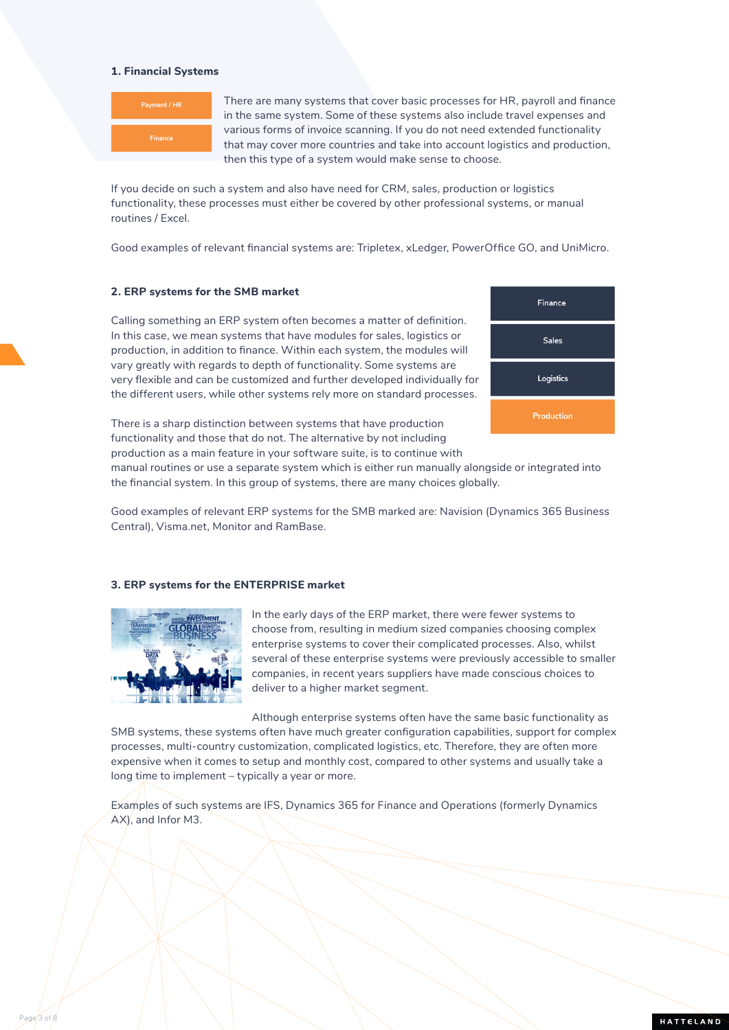### **1. Financial Systems**



There are many systems that cover basic processes for HR, payroll and finance in the same system. Some of these systems also include travel expenses and various forms of invoice scanning. If you do not need extended functionality that may cover more countries and take into account logistics and production, then this type of a system would make sense to choose.

If you decide on such a system and also have need for CRM, sales, production or logistics functionality, these processes must either be covered by other professional systems, or manual routines / Excel.

Good examples of relevant financial systems are: Tripletex, xLedger, PowerOffice GO, and UniMicro.

### **2. ERP systems for the SMB market**

Calling something an ERP system often becomes a matter of definition. In this case, we mean systems that have modules for sales, logistics or production, in addition to finance. Within each system, the modules will vary greatly with regards to depth of functionality. Some systems are very flexible and can be customized and further developed individually for the different users, while other systems rely more on standard processes.



There is a sharp distinction between systems that have production functionality and those that do not. The alternative by not including production as a main feature in your software suite, is to continue with

manual routines or use a separate system which is either run manually alongside or integrated into the financial system. In this group of systems, there are many choices globally.

Good examples of relevant ERP systems for the SMB marked are: Navision (Dynamics 365 Business Central), Visma.net, Monitor and RamBase.

### **3. ERP systems for the ENTERPRISE market**



Page<sup>3</sup> of 8

In the early days of the ERP market, there were fewer systems to choose from, resulting in medium sized companies choosing complex enterprise systems to cover their complicated processes. Also, whilst several of these enterprise systems were previously accessible to smaller companies, in recent years suppliers have made conscious choices to deliver to a higher market segment.

Although enterprise systems often have the same basic functionality as SMB systems, these systems often have much greater configuration capabilities, support for complex processes, multi-country customization, complicated logistics, etc. Therefore, they are often more expensive when it comes to setup and monthly cost, compared to other systems and usually take a long time to implement – typically a year or more.

Examples of such systems are IFS, Dynamics 365 for Finance and Operations (formerly Dynamics AX), and Infor M3.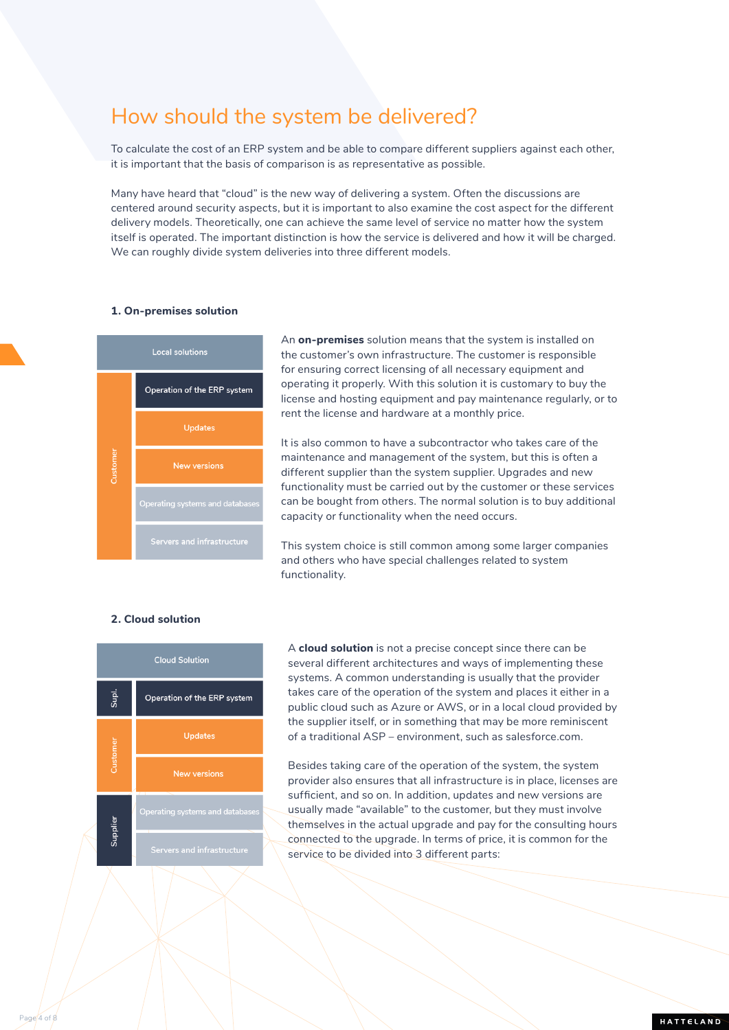## How should the system be delivered?

To calculate the cost of an ERP system and be able to compare different suppliers against each other, it is important that the basis of comparison is as representative as possible.

Many have heard that "cloud" is the new way of delivering a system. Often the discussions are centered around security aspects, but it is important to also examine the cost aspect for the different delivery models. Theoretically, one can achieve the same level of service no matter how the system itself is operated. The important distinction is how the service is delivered and how it will be charged. We can roughly divide system deliveries into three different models.

### **1. On-premises solution**



An **on-premises** solution means that the system is installed on the customer's own infrastructure. The customer is responsible for ensuring correct licensing of all necessary equipment and operating it properly. With this solution it is customary to buy the license and hosting equipment and pay maintenance regularly, or to rent the license and hardware at a monthly price.

It is also common to have a subcontractor who takes care of the maintenance and management of the system, but this is often a different supplier than the system supplier. Upgrades and new functionality must be carried out by the customer or these services can be bought from others. The normal solution is to buy additional capacity or functionality when the need occurs.

This system choice is still common among some larger companies and others who have special challenges related to system functionality.

## **2. Cloud solution**

Page 4 of 8



A **cloud solution** is not a precise concept since there can be several different architectures and ways of implementing these systems. A common understanding is usually that the provider takes care of the operation of the system and places it either in a public cloud such as Azure or AWS, or in a local cloud provided by the supplier itself, or in something that may be more reminiscent of a traditional ASP – environment, such as salesforce.com.

Besides taking care of the operation of the system, the system provider also ensures that all infrastructure is in place, licenses are sufficient, and so on. In addition, updates and new versions are usually made "available" to the customer, but they must involve themselves in the actual upgrade and pay for the consulting hours connected to the upgrade. In terms of price, it is common for the service to be divided into 3 different parts: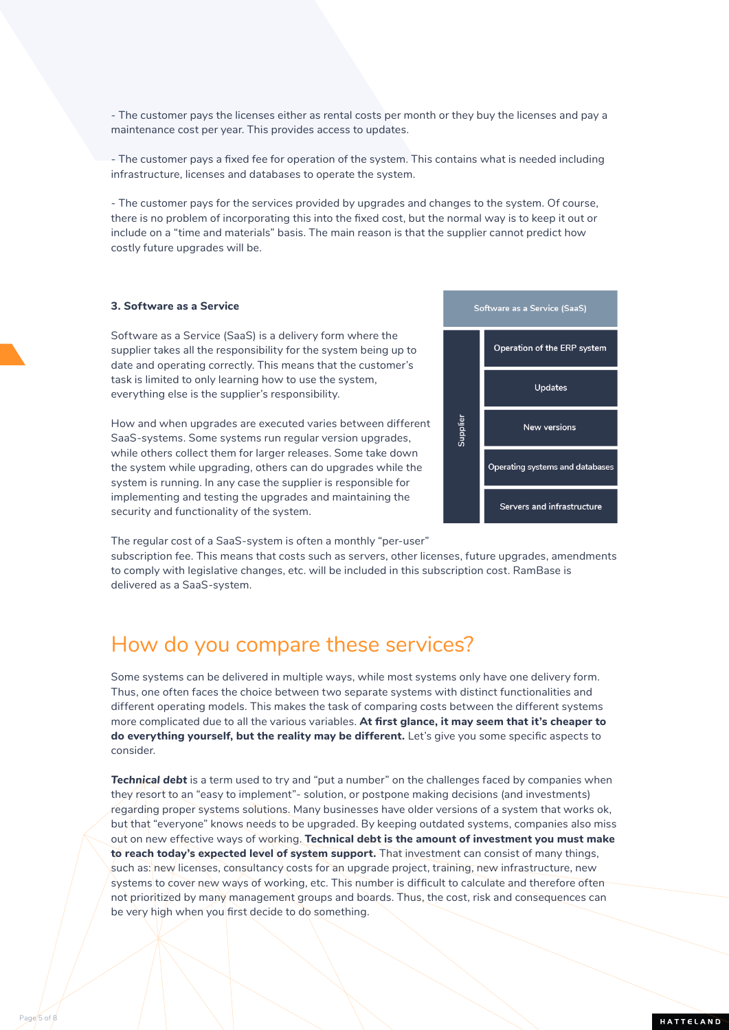- The customer pays the licenses either as rental costs per month or they buy the licenses and pay a maintenance cost per year. This provides access to updates.

- The customer pays a fixed fee for operation of the system. This contains what is needed including infrastructure, licenses and databases to operate the system.

- The customer pays for the services provided by upgrades and changes to the system. Of course, there is no problem of incorporating this into the fixed cost, but the normal way is to keep it out or include on a "time and materials" basis. The main reason is that the supplier cannot predict how costly future upgrades will be.

### **3. Software as a Service**

Page 5 of 8

Software as a Service (SaaS) is a delivery form where the supplier takes all the responsibility for the system being up to date and operating correctly. This means that the customer's task is limited to only learning how to use the system, everything else is the supplier's responsibility.

How and when upgrades are executed varies between different SaaS-systems. Some systems run regular version upgrades, while others collect them for larger releases. Some take down the system while upgrading, others can do upgrades while the system is running. In any case the supplier is responsible for implementing and testing the upgrades and maintaining the security and functionality of the system.



Supplier

Software as a Service (SaaS)

Operation of the ERP system

**Updates** 

New versions

The regular cost of a SaaS-system is often a monthly "per-user"

subscription fee. This means that costs such as servers, other licenses, future upgrades, amendments to comply with legislative changes, etc. will be included in this subscription cost. RamBase is delivered as a SaaS-system.

## How do you compare these services?

Some systems can be delivered in multiple ways, while most systems only have one delivery form. Thus, one often faces the choice between two separate systems with distinct functionalities and different operating models. This makes the task of comparing costs between the different systems more complicated due to all the various variables. **At first glance, it may seem that it's cheaper to do everything yourself, but the reality may be different.** Let's give you some specific aspects to consider.

*Technical debt* is a term used to try and "put a number" on the challenges faced by companies when they resort to an "easy to implement"- solution, or postpone making decisions (and investments) regarding proper systems solutions. Many businesses have older versions of a system that works ok, but that "everyone" knows needs to be upgraded. By keeping outdated systems, companies also miss out on new effective ways of working. **Technical debt is the amount of investment you must make to reach today's expected level of system support.** That investment can consist of many things, such as: new licenses, consultancy costs for an upgrade project, training, new infrastructure, new systems to cover new ways of working, etc. This number is difficult to calculate and therefore often not prioritized by many management groups and boards. Thus, the cost, risk and consequences can be very high when you first decide to do something.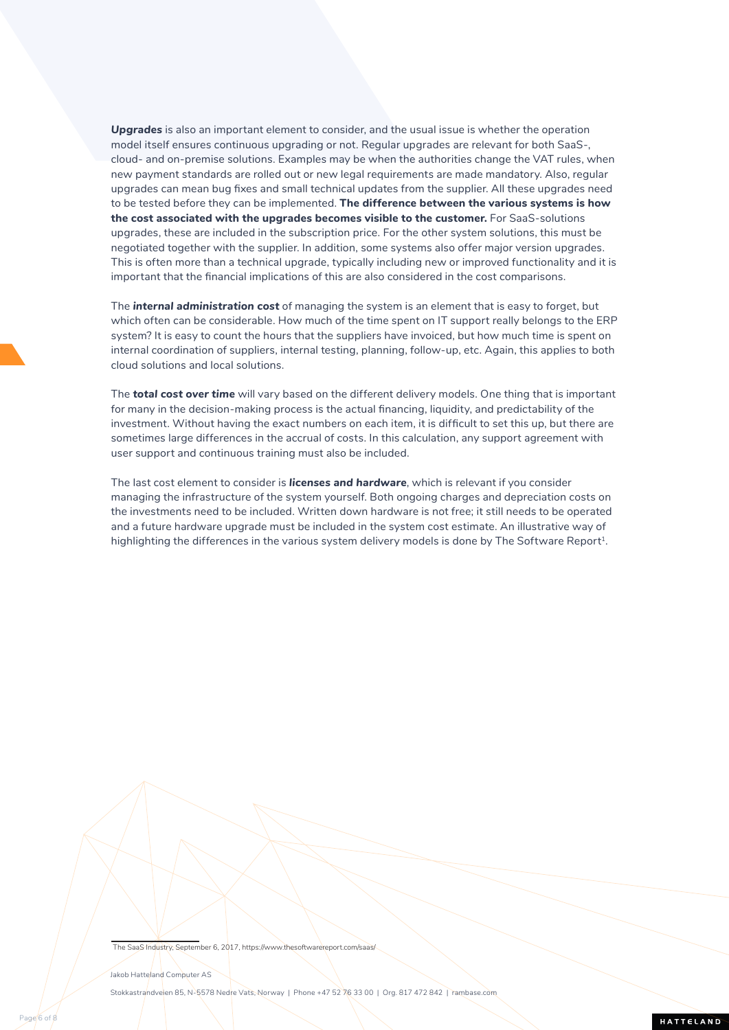*Upgrades* is also an important element to consider, and the usual issue is whether the operation model itself ensures continuous upgrading or not. Regular upgrades are relevant for both SaaS-, cloud- and on-premise solutions. Examples may be when the authorities change the VAT rules, when new payment standards are rolled out or new legal requirements are made mandatory. Also, regular upgrades can mean bug fixes and small technical updates from the supplier. All these upgrades need to be tested before they can be implemented. **The difference between the various systems is how the cost associated with the upgrades becomes visible to the customer.** For SaaS-solutions upgrades, these are included in the subscription price. For the other system solutions, this must be negotiated together with the supplier. In addition, some systems also offer major version upgrades. This is often more than a technical upgrade, typically including new or improved functionality and it is important that the financial implications of this are also considered in the cost comparisons.

The *internal administration cost* of managing the system is an element that is easy to forget, but which often can be considerable. How much of the time spent on IT support really belongs to the ERP system? It is easy to count the hours that the suppliers have invoiced, but how much time is spent on internal coordination of suppliers, internal testing, planning, follow-up, etc. Again, this applies to both cloud solutions and local solutions.

The *total cost over time* will vary based on the different delivery models. One thing that is important for many in the decision-making process is the actual financing, liquidity, and predictability of the investment. Without having the exact numbers on each item, it is difficult to set this up, but there are sometimes large differences in the accrual of costs. In this calculation, any support agreement with user support and continuous training must also be included.

The last cost element to consider is *licenses and hardware*, which is relevant if you consider managing the infrastructure of the system yourself. Both ongoing charges and depreciation costs on the investments need to be included. Written down hardware is not free; it still needs to be operated and a future hardware upgrade must be included in the system cost estimate. An illustrative way of highlighting the differences in the various system delivery models is done by The Software Report<sup>1</sup>.

#### The SaaS Industry, September 6, 2017, https://www.thesoftwarereport.com

## Jakob Hatteland Computer AS

Page<sup>6</sup> of 8

Stokkastrandveien 85, N-5578 Nedre Vats, Norway | Phone +47 52 76 33 00 | Org. 817 472 842 | [rambase.com](https://rambase.com)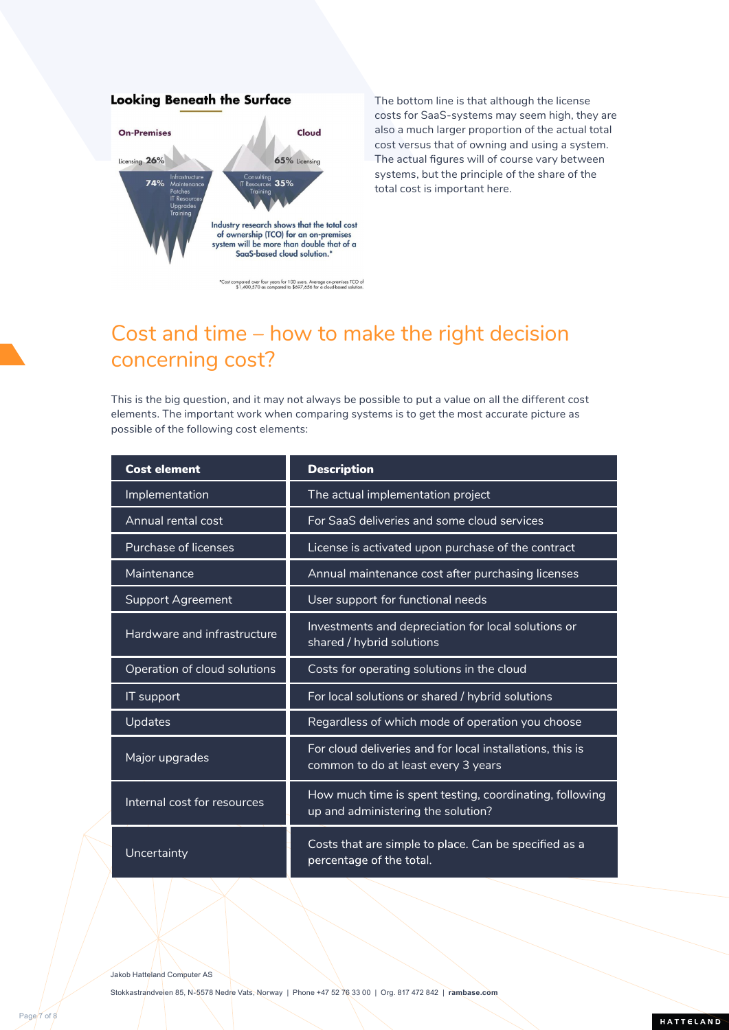## **Looking Beneath the Surface On-Premises** Cloud 65% Licensing Licensing 26% 74%  $35%$ Industry research shows that the total cost of ownership (TCO) for an on-premises<br>system will be more than double that of a SaaS-based cloud solution.\*

The bottom line is that although the license costs for SaaS-systems may seem high, they are also a much larger proportion of the actual total cost versus that of owning and using a system. The actual figures will of course vary between systems, but the principle of the share of the total cost is important here.

\*Cost compared over four years for 100 users. Average on-premises TCO of \$1,400,570 as compared to \$697,656 for a cloud-based solution.

## Cost and time – how to make the right decision concerning cost?

This is the big question, and it may not always be possible to put a value on all the different cost elements. The important work when comparing systems is to get the most accurate picture as possible of the following cost elements:

| <b>Cost element</b>          | <b>Description</b>                                                                               |
|------------------------------|--------------------------------------------------------------------------------------------------|
| Implementation               | The actual implementation project                                                                |
| Annual rental cost           | For SaaS deliveries and some cloud services                                                      |
| Purchase of licenses         | License is activated upon purchase of the contract                                               |
| Maintenance                  | Annual maintenance cost after purchasing licenses                                                |
| <b>Support Agreement</b>     | User support for functional needs                                                                |
| Hardware and infrastructure  | Investments and depreciation for local solutions or<br>shared / hybrid solutions                 |
| Operation of cloud solutions | Costs for operating solutions in the cloud                                                       |
| IT support                   | For local solutions or shared / hybrid solutions                                                 |
| <b>Updates</b>               | Regardless of which mode of operation you choose                                                 |
| Major upgrades               | For cloud deliveries and for local installations, this is<br>common to do at least every 3 years |
| Internal cost for resources  | How much time is spent testing, coordinating, following<br>up and administering the solution?    |
| Uncertainty                  | Costs that are simple to place. Can be specified as a<br>percentage of the total.                |

Jakob Hatteland Computer AS

Page 7 of 8

Stokkastrandveien 85, N-5578 Nedre Vats, Norway | Phone +47 52 76 33 00 | Org. 817 472 842 | **[rambase.com](https://rambase.com)**